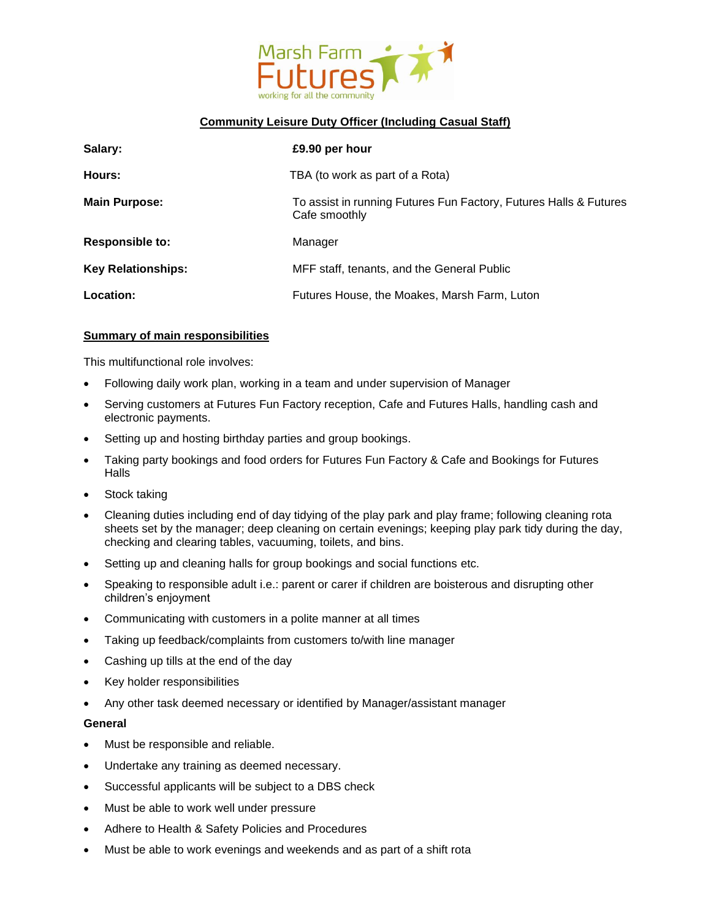

## **Community Leisure Duty Officer (Including Casual Staff)**

| Salary:                   | £9.90 per hour                                                                     |
|---------------------------|------------------------------------------------------------------------------------|
| Hours:                    | TBA (to work as part of a Rota)                                                    |
| <b>Main Purpose:</b>      | To assist in running Futures Fun Factory, Futures Halls & Futures<br>Cafe smoothly |
| <b>Responsible to:</b>    | Manager                                                                            |
| <b>Key Relationships:</b> | MFF staff, tenants, and the General Public                                         |
| Location:                 | Futures House, the Moakes, Marsh Farm, Luton                                       |

### **Summary of main responsibilities**

This multifunctional role involves:

- Following daily work plan, working in a team and under supervision of Manager
- Serving customers at Futures Fun Factory reception, Cafe and Futures Halls, handling cash and electronic payments.
- Setting up and hosting birthday parties and group bookings.
- Taking party bookings and food orders for Futures Fun Factory & Cafe and Bookings for Futures Halls
- Stock taking
- Cleaning duties including end of day tidying of the play park and play frame; following cleaning rota sheets set by the manager; deep cleaning on certain evenings; keeping play park tidy during the day, checking and clearing tables, vacuuming, toilets, and bins.
- Setting up and cleaning halls for group bookings and social functions etc.
- Speaking to responsible adult i.e.: parent or carer if children are boisterous and disrupting other children's enjoyment
- Communicating with customers in a polite manner at all times
- Taking up feedback/complaints from customers to/with line manager
- Cashing up tills at the end of the day
- Key holder responsibilities
- Any other task deemed necessary or identified by Manager/assistant manager

### **General**

- Must be responsible and reliable.
- Undertake any training as deemed necessary.
- Successful applicants will be subject to a DBS check
- Must be able to work well under pressure
- Adhere to Health & Safety Policies and Procedures
- Must be able to work evenings and weekends and as part of a shift rota